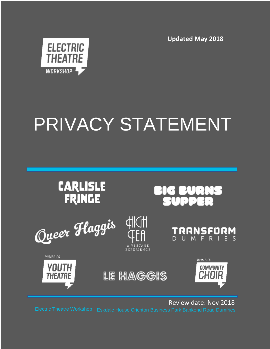**Updated May 2018**



# PRIVACY STATEMENT



Review date: Nov 2018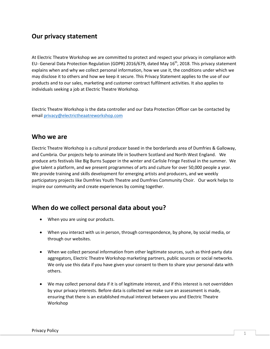## **Our privacy statement**

At Electric Theatre Workshop we are committed to protect and respect your privacy in compliance with EU- General Data Protection Regulation (GDPR) 2016/679, dated May 16<sup>th</sup>, 2018. This privacy statement explains when and why we collect personal information, how we use it, the conditions under which we may disclose it to others and how we keep it secure. This Privacy Statement applies to the use of our products and to our sales, marketing and customer contract fulfilment activities. It also applies to individuals seeking a job at Electric Theatre Workshop.

Electric Theatre Workshop is the data controller and our Data Protection Officer can be contacted by email [privacy@electrictheaatreworkshop.com](mailto:privacy@electrictheaatreworkshop.com)

#### **Who we are**

Electric Theatre Workshop is a cultural producer based in the borderlands area of Dumfries & Galloway, and Cumbria. Our projects help to animate life in Southern Scotland and North West England. We produce arts festivals like Big Burns Supper in the winter and Carlisle Fringe Festival in the summer. We give talent a platform, and we present programmes of arts and culture for over 50,000 people a year. We provide training and skills development for emerging artists and producers, and we weekly participatory projects like Dumfries Youth Theatre and Dumfries Community Choir. Our work helps to inspire our community and create experiences by coming together.

### **When do we collect personal data about you?**

- When you are using our products.
- When you interact with us in person, through correspondence, by phone, by social media, or through our websites.
- When we collect personal information from other legitimate sources, such as third-party data aggregators, Electric Theatre Workshop marketing partners, public sources or social networks. We only use this data if you have given your consent to them to share your personal data with others.
- We may collect personal data if it is of legitimate interest, and if this interest is not overridden by your privacy interests. Before data is collected we make sure an assessment is made, ensuring that there is an established mutual interest between you and Electric Theatre Workshop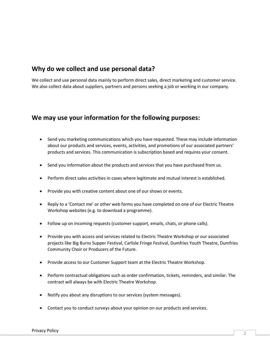## **Why do we collect and use personal data?**

We collect and use personal data mainly to perform direct sales, direct marketing and customer service. We also collect data about suppliers, partners and persons seeking a job or working in our company.

### **We may use your information for the following purposes:**

- Send you marketing communications which you have requested. These may include information about our products and services, events, activities, and promotions of our associated partners' products and services. This communication is subscription based and requires your consent.
- Send you information about the products and services that you have purchased from us.
- Perform direct sales activities in cases where legitimate and mutual interest is established.
- Provide you with creative content about one of our shows or events.
- Reply to a 'Contact me' or other web forms you have completed on one of our Electric Theatre Workshop websites (e.g. to download a programme).
- Follow up on incoming requests (customer support, emails, chats, or phone calls).
- Provide you with access and services related to Electric Theatre Workshop or our associated projects like Big Burns Supper Festival, Carlisle Fringe Festival, Dumfries Youth Theatre, Dumfries Community Choir or Producers of the Future.
- Provide access to our Customer Support team at the Electric Theatre Workshop.
- Perform contractual obligations such as order confirmation, tickets, reminders, and similar. The contract will always be with Electric Theatre Workshop.
- Notify you about any disruptions to our services (system messages).
- Contact you to conduct surveys about your opinion on our products and services.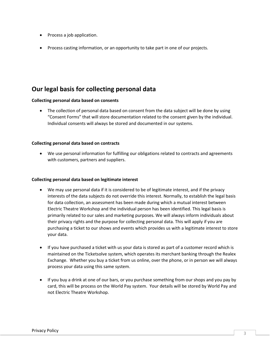- Process a job application.
- Process casting information, or an opportunity to take part in one of our projects.

## **Our legal basis for collecting personal data**

#### **Collecting personal data based on consents**

 The collection of personal data based on consent from the data subject will be done by using "Consent Forms" that will store documentation related to the consent given by the individual. Individual consents will always be stored and documented in our systems.

#### **Collecting personal data based on contracts**

 We use personal information for fulfilling our obligations related to contracts and agreements with customers, partners and suppliers.

#### **Collecting personal data based on legitimate interest**

- We may use personal data if it is considered to be of legitimate interest, and if the privacy interests of the data subjects do not override this interest. Normally, to establish the legal basis for data collection, an assessment has been made during which a mutual interest between Electric Theatre Workshop and the individual person has been identified. This legal basis is primarily related to our sales and marketing purposes. We will always inform individuals about their privacy rights and the purpose for collecting personal data. This will apply if you are purchasing a ticket to our shows and events which provides us with a legitimate interest to store your data.
- If you have purchased a ticket with us your data is stored as part of a customer record which is maintained on the Ticketsolve system, which operates its merchant banking through the Realex Exchange. Whether you buy a ticket from us online, over the phone, or in person we will always process your data using this same system.
- If you buy a drink at one of our bars, or you purchase something from our shops and you pay by card, this will be process on the World Pay system. Your details will be stored by World Pay and not Electric Theatre Workshop.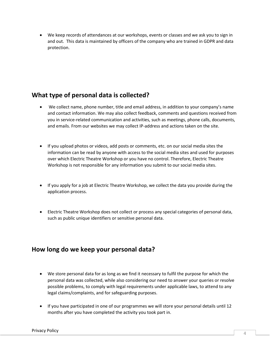We keep records of attendances at our workshops, events or classes and we ask you to sign in and out. This data is maintained by officers of the company who are trained in GDPR and data protection.

## **What type of personal data is collected?**

- We collect name, phone number, title and email address, in addition to your company's name and contact information. We may also collect feedback, comments and questions received from you in service-related communication and activities, such as meetings, phone calls, documents, and emails. From our websites we may collect IP-address and actions taken on the site.
- If you upload photos or videos, add posts or comments, etc. on our social media sites the information can be read by anyone with access to the social media sites and used for purposes over which Electric Theatre Workshop or you have no control. Therefore, Electric Theatre Workshop is not responsible for any information you submit to our social media sites.
- If you apply for a job at Electric Theatre Workshop, we collect the data you provide during the application process.
- Electric Theatre Workshop does not collect or process any special categories of personal data, such as public unique identifiers or sensitive personal data.

## **How long do we keep your personal data?**

- We store personal data for as long as we find it necessary to fulfil the purpose for which the personal data was collected, while also considering our need to answer your queries or resolve possible problems, to comply with legal requirements under applicable laws, to attend to any legal claims/complaints, and for safeguarding purposes.
- If you have participated in one of our programmes we will store your personal details until 12 months after you have completed the activity you took part in.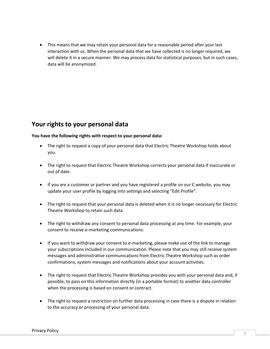This means that we may retain your personal data for a reasonable period after your last interaction with us. When the personal data that we have collected is no longer required, we will delete it in a secure manner. We may process data for statistical purposes, but in such cases, data will be anonymized.

## **Your rights to your personal data**

**You have the following rights with respect to your personal data:**

- The right to request a copy of your personal data that Electric Theatre Workshop holds about you.
- The right to request that Electric Theatre Workshop corrects your personal data if inaccurate or out of date.
- If you are a customer or partner and you have registered a profile on our C website, you may update your user profile by logging into settings and selecting "Edit Profile".
- The right to request that your personal data is deleted when it is no longer necessary for Electric Theatre Workshop to retain such data.
- The right to withdraw any consent to personal data processing at any time. For example, your consent to receive e-marketing communications:
- If you want to withdraw your consent to e-marketing, please make use of the link to manage your subscriptions included in our communication. Please note that you may still receive system messages and administrative communications from Electric Theatre Workshop such as order confirmations, system messages and notifications about your account activities.
- The right to request that Electric Theatre Workshop provides you with your personal data and, if possible, to pass on this information directly (in a portable format) to another data controller when the processing is based on consent or contract.
- The right to request a restriction on further data processing in case there is a dispute in relation to the accuracy or processing of your personal data.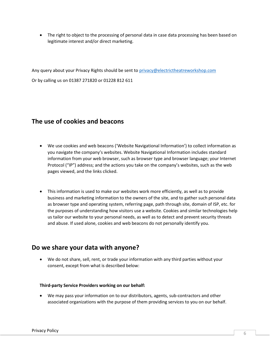• The right to object to the processing of personal data in case data processing has been based on legitimate interest and/or direct marketing.

Any query about your Privacy Rights should be sent to [privacy@electrictheatreworkshop.com](mailto:privacy@electrictheatreworkshop.com) Or by calling us on 01387 271820 or 01228 812 611

## **The use of cookies and beacons**

- We use cookies and web beacons ('Website Navigational Information') to collect information as you navigate the company's websites. Website Navigational Information includes standard information from your web browser, such as browser type and browser language; your Internet Protocol ("IP") address; and the actions you take on the company's websites, such as the web pages viewed, and the links clicked.
- This information is used to make our websites work more efficiently, as well as to provide business and marketing information to the owners of the site, and to gather such personal data as browser type and operating system, referring page, path through site, domain of ISP, etc. for the purposes of understanding how visitors use a website. Cookies and similar technologies help us tailor our website to your personal needs, as well as to detect and prevent security threats and abuse. If used alone, cookies and web beacons do not personally identify you.

### **Do we share your data with anyone?**

 We do not share, sell, rent, or trade your information with any third parties without your consent, except from what is described below:

#### **Third-party Service Providers working on our behalf:**

 We may pass your information on to our distributors, agents, sub-contractors and other associated organizations with the purpose of them providing services to you on our behalf.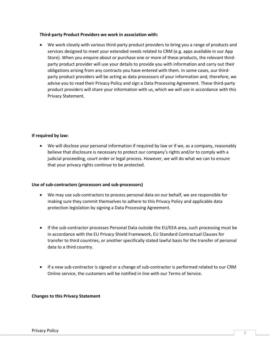#### **Third-party Product Providers we work in association with:**

 We work closely with various third-party product providers to bring you a range of products and services designed to meet your extended needs related to CRM (e.g. apps available in our App Store). When you enquire about or purchase one or more of these products, the relevant thirdparty product provider will use your details to provide you with information and carry out their obligations arising from any contracts you have entered with them. In some cases, our thirdparty product providers will be acting as data processors of your information and, therefore, we advise you to read their Privacy Policy and sign a Data Processing Agreement. These third-party product providers will share your information with us, which we will use in accordance with this Privacy Statement.

#### **If required by law:**

 We will disclose your personal information if required by law or if we, as a company, reasonably believe that disclosure is necessary to protect our company's rights and/or to comply with a judicial proceeding, court order or legal process. However, we will do what we can to ensure that your privacy rights continue to be protected.

#### **Use of sub-contractors (processors and sub-processors)**

- We may use sub-contractors to process personal data on our behalf, we are responsible for making sure they commit themselves to adhere to this Privacy Policy and applicable data protection legislation by signing a Data Processing Agreement.
- If the sub-contractor processes Personal Data outside the EU/EEA area, such processing must be in accordance with the EU Privacy Shield Framework, EU Standard Contractual Clauses for transfer to third countries, or another specifically stated lawful basis for the transfer of personal data to a third country.
- If a new sub-contractor is signed or a change of sub-contractor is performed related to our CRM Online service, the customers will be notified in line with our Terms of Service.

#### **Changes to this Privacy Statement**